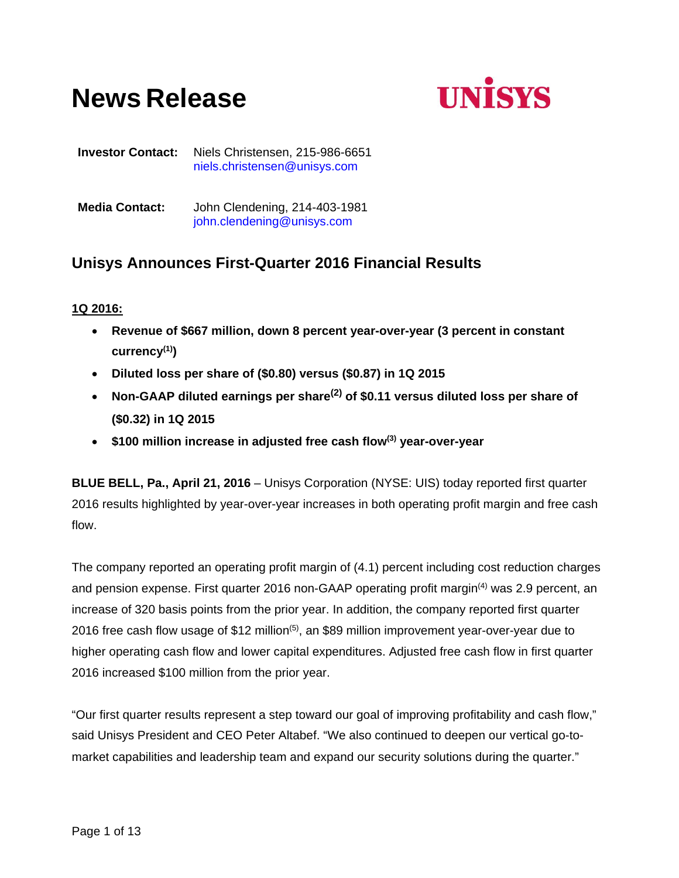# **News Release**



**Investor Contact:** Niels Christensen, 215-986-6651 niels.christensen@unisys.com

**Media Contact:** John Clendening, 214-403-1981 john.clendening@unisys.com

## **Unisys Announces First-Quarter 2016 Financial Results**

## **1Q 2016:**

- **Revenue of \$667 million, down 8 percent year-over-year (3 percent in constant currency(1))**
- **Diluted loss per share of (\$0.80) versus (\$0.87) in 1Q 2015**
- **Non-GAAP diluted earnings per share(2) of \$0.11 versus diluted loss per share of (\$0.32) in 1Q 2015**
- **\$100 million increase in adjusted free cash flow(3) year-over-year**

**BLUE BELL, Pa., April 21, 2016** – Unisys Corporation (NYSE: UIS) today reported first quarter 2016 results highlighted by year-over-year increases in both operating profit margin and free cash flow.

The company reported an operating profit margin of (4.1) percent including cost reduction charges and pension expense. First quarter 2016 non-GAAP operating profit margin<sup>(4)</sup> was 2.9 percent, an increase of 320 basis points from the prior year. In addition, the company reported first quarter 2016 free cash flow usage of \$12 million<sup> $(5)$ </sup>, an \$89 million improvement year-over-year due to higher operating cash flow and lower capital expenditures. Adjusted free cash flow in first quarter 2016 increased \$100 million from the prior year.

"Our first quarter results represent a step toward our goal of improving profitability and cash flow," said Unisys President and CEO Peter Altabef. "We also continued to deepen our vertical go-tomarket capabilities and leadership team and expand our security solutions during the quarter."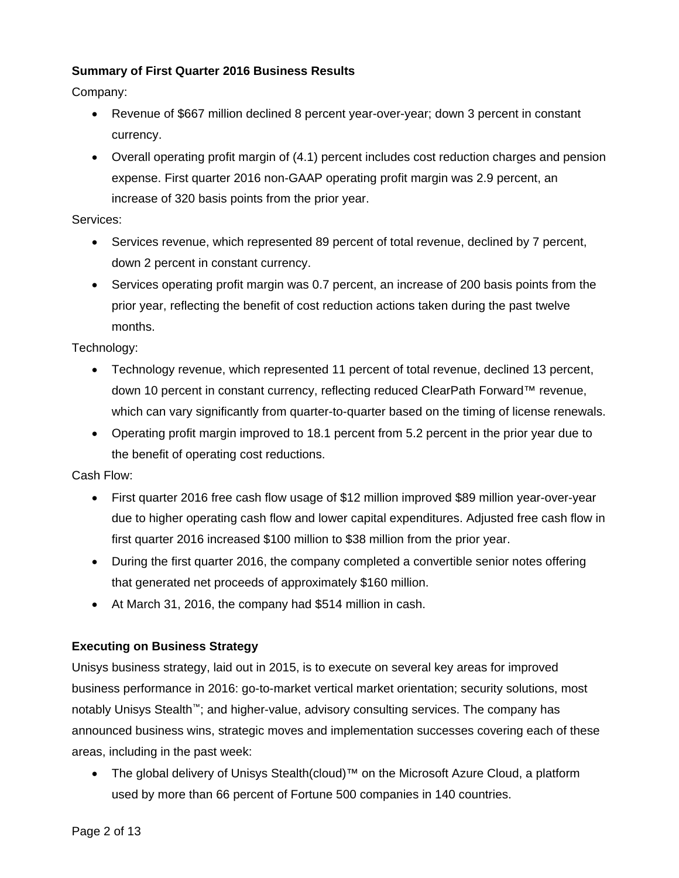## **Summary of First Quarter 2016 Business Results**

Company:

- Revenue of \$667 million declined 8 percent year-over-year; down 3 percent in constant currency.
- Overall operating profit margin of (4.1) percent includes cost reduction charges and pension expense. First quarter 2016 non-GAAP operating profit margin was 2.9 percent, an increase of 320 basis points from the prior year.

Services:

- Services revenue, which represented 89 percent of total revenue, declined by 7 percent, down 2 percent in constant currency.
- Services operating profit margin was 0.7 percent, an increase of 200 basis points from the prior year, reflecting the benefit of cost reduction actions taken during the past twelve months.

Technology:

- Technology revenue, which represented 11 percent of total revenue, declined 13 percent, down 10 percent in constant currency, reflecting reduced ClearPath Forward™ revenue, which can vary significantly from quarter-to-quarter based on the timing of license renewals.
- Operating profit margin improved to 18.1 percent from 5.2 percent in the prior year due to the benefit of operating cost reductions.

Cash Flow:

- First quarter 2016 free cash flow usage of \$12 million improved \$89 million year-over-year due to higher operating cash flow and lower capital expenditures. Adjusted free cash flow in first quarter 2016 increased \$100 million to \$38 million from the prior year.
- During the first quarter 2016, the company completed a convertible senior notes offering that generated net proceeds of approximately \$160 million.
- At March 31, 2016, the company had \$514 million in cash.

## **Executing on Business Strategy**

Unisys business strategy, laid out in 2015, is to execute on several key areas for improved business performance in 2016: go-to-market vertical market orientation; security solutions, most notably Unisys Stealth™; and higher-value, advisory consulting services. The company has announced business wins, strategic moves and implementation successes covering each of these areas, including in the past week:

 The global delivery of Unisys Stealth(cloud)™ on the Microsoft Azure Cloud, a platform used by more than 66 percent of Fortune 500 companies in 140 countries.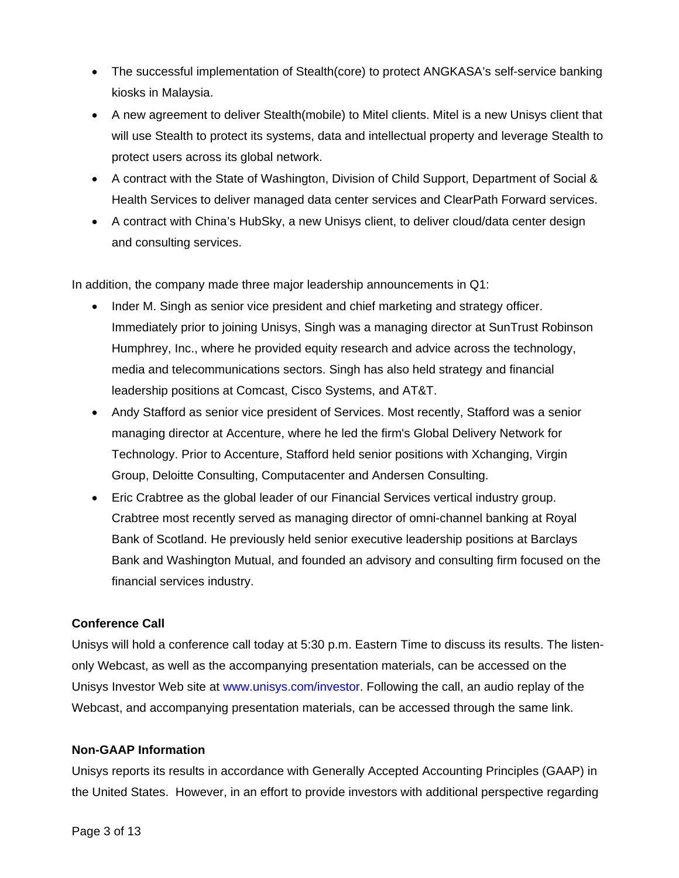- The successful implementation of Stealth(core) to protect ANGKASA's self-service banking kiosks in Malaysia.
- A new agreement to deliver Stealth(mobile) to Mitel clients. Mitel is a new Unisys client that will use Stealth to protect its systems, data and intellectual property and leverage Stealth to protect users across its global network.
- A contract with the State of Washington, Division of Child Support, Department of Social & Health Services to deliver managed data center services and ClearPath Forward services.
- A contract with China's HubSky, a new Unisys client, to deliver cloud/data center design and consulting services.

In addition, the company made three major leadership announcements in Q1:

- Inder M. Singh as senior vice president and chief marketing and strategy officer. Immediately prior to joining Unisys, Singh was a managing director at SunTrust Robinson Humphrey, Inc., where he provided equity research and advice across the technology, media and telecommunications sectors. Singh has also held strategy and financial leadership positions at Comcast, Cisco Systems, and AT&T.
- Andy Stafford as senior vice president of Services. Most recently, Stafford was a senior managing director at Accenture, where he led the firm's Global Delivery Network for Technology. Prior to Accenture, Stafford held senior positions with Xchanging, Virgin Group, Deloitte Consulting, Computacenter and Andersen Consulting.
- Eric Crabtree as the global leader of our Financial Services vertical industry group. Crabtree most recently served as managing director of omni-channel banking at Royal Bank of Scotland. He previously held senior executive leadership positions at Barclays Bank and Washington Mutual, and founded an advisory and consulting firm focused on the financial services industry.

## **Conference Call**

Unisys will hold a conference call today at 5:30 p.m. Eastern Time to discuss its results. The listenonly Webcast, as well as the accompanying presentation materials, can be accessed on the Unisys Investor Web site at www.unisys.com/investor. Following the call, an audio replay of the Webcast, and accompanying presentation materials, can be accessed through the same link.

## **Non-GAAP Information**

Unisys reports its results in accordance with Generally Accepted Accounting Principles (GAAP) in the United States. However, in an effort to provide investors with additional perspective regarding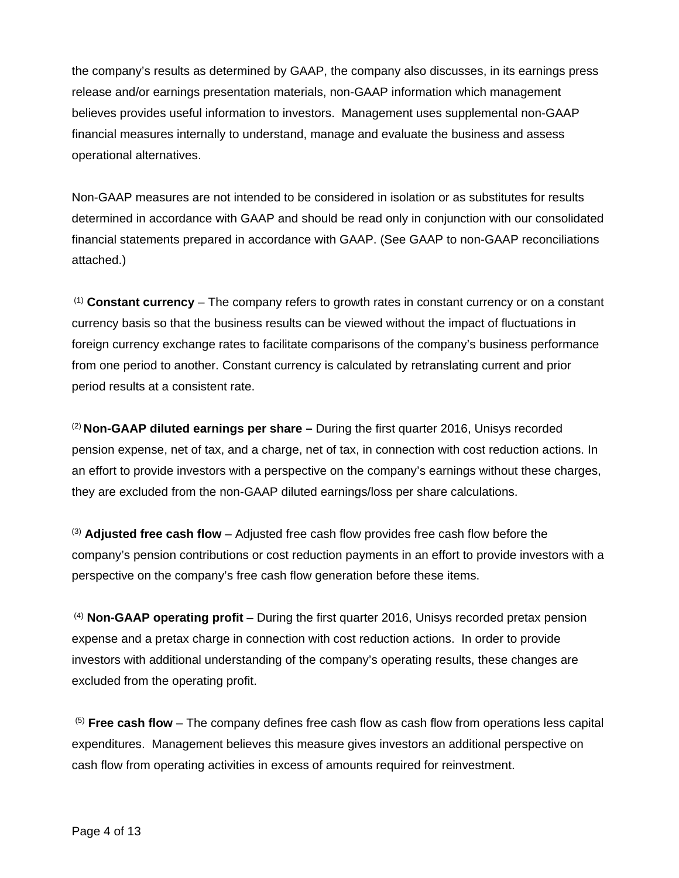the company's results as determined by GAAP, the company also discusses, in its earnings press release and/or earnings presentation materials, non-GAAP information which management believes provides useful information to investors. Management uses supplemental non-GAAP financial measures internally to understand, manage and evaluate the business and assess operational alternatives.

Non-GAAP measures are not intended to be considered in isolation or as substitutes for results determined in accordance with GAAP and should be read only in conjunction with our consolidated financial statements prepared in accordance with GAAP. (See GAAP to non-GAAP reconciliations attached.)

 (1) **Constant currency** – The company refers to growth rates in constant currency or on a constant currency basis so that the business results can be viewed without the impact of fluctuations in foreign currency exchange rates to facilitate comparisons of the company's business performance from one period to another. Constant currency is calculated by retranslating current and prior period results at a consistent rate.

(2) **Non-GAAP diluted earnings per share –** During the first quarter 2016, Unisys recorded pension expense, net of tax, and a charge, net of tax, in connection with cost reduction actions. In an effort to provide investors with a perspective on the company's earnings without these charges, they are excluded from the non-GAAP diluted earnings/loss per share calculations.

(3) **Adjusted free cash flow** – Adjusted free cash flow provides free cash flow before the company's pension contributions or cost reduction payments in an effort to provide investors with a perspective on the company's free cash flow generation before these items.

 (4) **Non-GAAP operating profit** – During the first quarter 2016, Unisys recorded pretax pension expense and a pretax charge in connection with cost reduction actions. In order to provide investors with additional understanding of the company's operating results, these changes are excluded from the operating profit.

(5) **Free cash flow** – The company defines free cash flow as cash flow from operations less capital expenditures. Management believes this measure gives investors an additional perspective on cash flow from operating activities in excess of amounts required for reinvestment.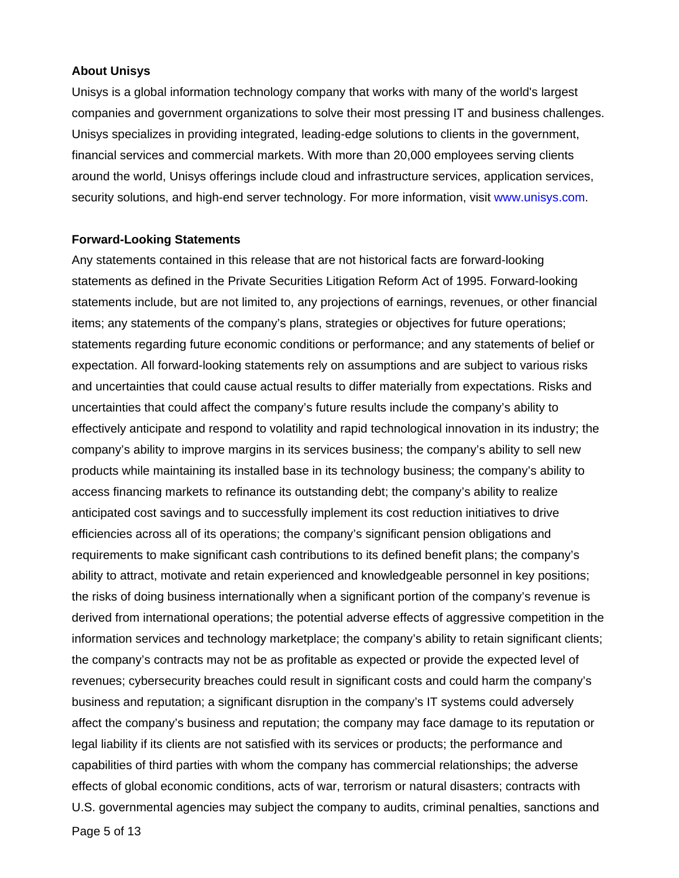#### **About Unisys**

Unisys is a global information technology company that works with many of the world's largest companies and government organizations to solve their most pressing IT and business challenges. Unisys specializes in providing integrated, leading-edge solutions to clients in the government, financial services and commercial markets. With more than 20,000 employees serving clients around the world, Unisys offerings include cloud and infrastructure services, application services, security solutions, and high-end server technology. For more information, visit www.unisys.com.

#### **Forward-Looking Statements**

Any statements contained in this release that are not historical facts are forward-looking statements as defined in the Private Securities Litigation Reform Act of 1995. Forward-looking statements include, but are not limited to, any projections of earnings, revenues, or other financial items; any statements of the company's plans, strategies or objectives for future operations; statements regarding future economic conditions or performance; and any statements of belief or expectation. All forward-looking statements rely on assumptions and are subject to various risks and uncertainties that could cause actual results to differ materially from expectations. Risks and uncertainties that could affect the company's future results include the company's ability to effectively anticipate and respond to volatility and rapid technological innovation in its industry; the company's ability to improve margins in its services business; the company's ability to sell new products while maintaining its installed base in its technology business; the company's ability to access financing markets to refinance its outstanding debt; the company's ability to realize anticipated cost savings and to successfully implement its cost reduction initiatives to drive efficiencies across all of its operations; the company's significant pension obligations and requirements to make significant cash contributions to its defined benefit plans; the company's ability to attract, motivate and retain experienced and knowledgeable personnel in key positions; the risks of doing business internationally when a significant portion of the company's revenue is derived from international operations; the potential adverse effects of aggressive competition in the information services and technology marketplace; the company's ability to retain significant clients; the company's contracts may not be as profitable as expected or provide the expected level of revenues; cybersecurity breaches could result in significant costs and could harm the company's business and reputation; a significant disruption in the company's IT systems could adversely affect the company's business and reputation; the company may face damage to its reputation or legal liability if its clients are not satisfied with its services or products; the performance and capabilities of third parties with whom the company has commercial relationships; the adverse effects of global economic conditions, acts of war, terrorism or natural disasters; contracts with U.S. governmental agencies may subject the company to audits, criminal penalties, sanctions and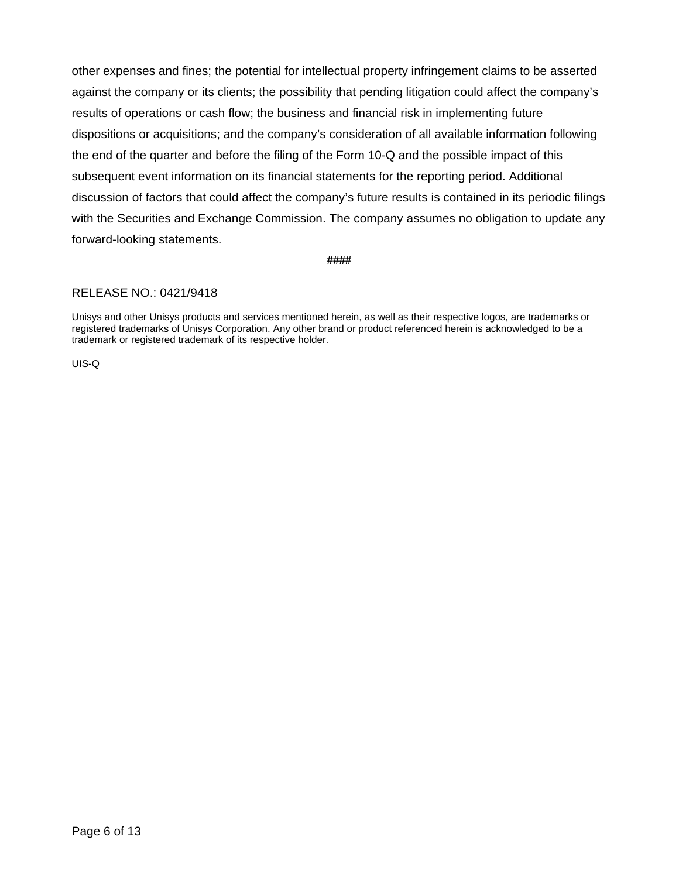other expenses and fines; the potential for intellectual property infringement claims to be asserted against the company or its clients; the possibility that pending litigation could affect the company's results of operations or cash flow; the business and financial risk in implementing future dispositions or acquisitions; and the company's consideration of all available information following the end of the quarter and before the filing of the Form 10-Q and the possible impact of this subsequent event information on its financial statements for the reporting period. Additional discussion of factors that could affect the company's future results is contained in its periodic filings with the Securities and Exchange Commission. The company assumes no obligation to update any forward-looking statements.

**####** 

#### RELEASE NO.: 0421/9418

Unisys and other Unisys products and services mentioned herein, as well as their respective logos, are trademarks or registered trademarks of Unisys Corporation. Any other brand or product referenced herein is acknowledged to be a trademark or registered trademark of its respective holder.

UIS-Q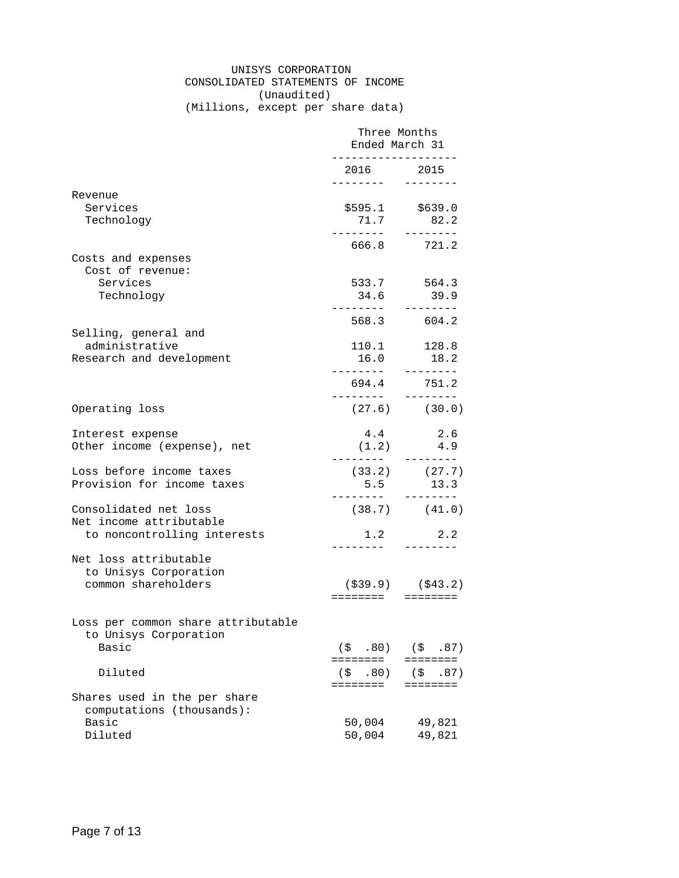### UNISYS CORPORATION CONSOLIDATED STATEMENTS OF INCOME (Unaudited)

(Millions, except per share data)

|                                                                               | Three Months<br>Ended March 31<br>. _ _ _ _ _ _ _ _ _ _ _ _ _ |                                       |
|-------------------------------------------------------------------------------|---------------------------------------------------------------|---------------------------------------|
|                                                                               | 2016 2015                                                     |                                       |
| Revenue<br>Services<br>Technology                                             |                                                               | $$595.1$ $$639.0$<br>71.7 82.2        |
| Costs and expenses                                                            | ---------                                                     | --------<br>666.8 721.2               |
| Cost of revenue:<br>Services<br>Technology                                    | 34.6                                                          | 533.7 564.3<br>39.9                   |
| Selling, general and<br>administrative<br>Research and development            | 16.0                                                          | 568.3 604.2<br>110.1 128.8<br>18.2    |
|                                                                               | . <u>.</u> .<br>694.4<br>. <u>.</u> .                         | --------<br>751.2                     |
| Operating loss                                                                |                                                               | $(27.6)$ $(30.0)$                     |
| Interest expense<br>Other income (expense), net                               | 4.4<br>$(1.2)$ 4.9                                            | 2.6<br>--------                       |
| Loss before income taxes<br>Provision for income taxes                        | 5.5<br>. <u>.</u>                                             | $(33.2)$ $(27.7)$<br>13.3<br>-------- |
| Consolidated net loss<br>Net income attributable                              |                                                               | $(38.7)$ $(41.0)$                     |
| to noncontrolling interests<br>Net loss attributable<br>to Unisys Corporation |                                                               | $1.2$ 2.2                             |
| common shareholders                                                           | ========       ========                                       | $( $39.9)$ $ ($43.2)$                 |
| Loss per common share attributable<br>to Unisys Corporation<br>Basic          | (S, 80)                                                       | (S, 87)                               |
| Diluted                                                                       | ========<br>.80)<br>(\$<br>========                           | ========<br>(S<br>.87)<br>========    |
| Shares used in the per share<br>computations (thousands):<br>Basic<br>Diluted | 50,004<br>50,004                                              | 49,821<br>49,821                      |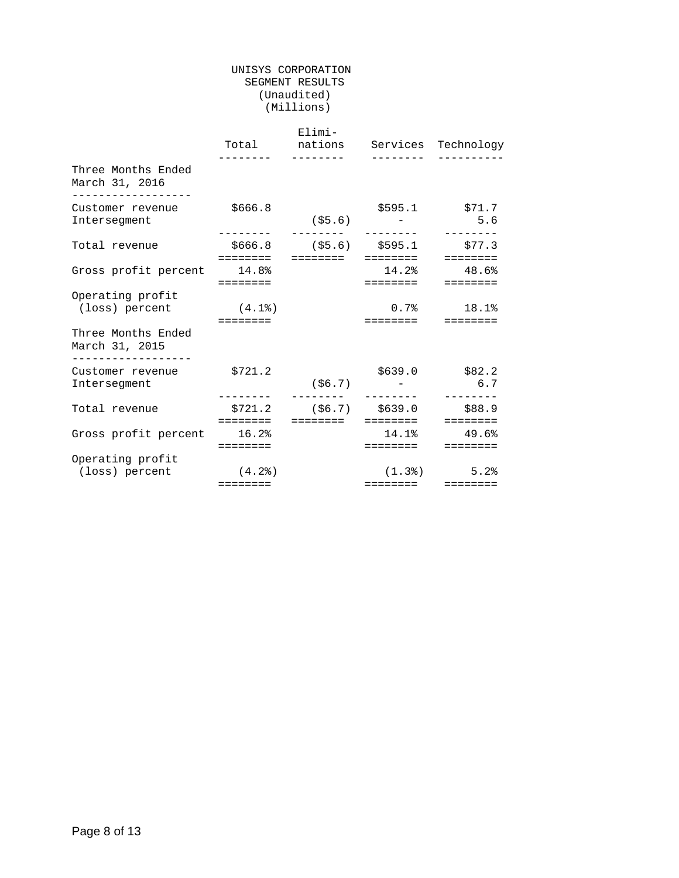#### UNISYS CORPORATION SEGMENT RESULTS (Unaudited) (Millions)

|                                                                         |                                                                                  | Elimi-<br>$- - - - - - - - -$ |                                                       | Total nations Services Technology                                       |
|-------------------------------------------------------------------------|----------------------------------------------------------------------------------|-------------------------------|-------------------------------------------------------|-------------------------------------------------------------------------|
| Three Months Ended<br>March 31, 2016<br>__________________              |                                                                                  |                               |                                                       |                                                                         |
| Customer revenue<br>Intersegment                                        | \$666.8                                                                          |                               | $(55.6)$ -                                            | $$595.1$ $$71.7$<br>5.6<br>--------                                     |
| Total revenue                                                           | ========                                                                         |                               | $$666.8$ (\$5.6) \$595.1 \$77.3<br>========  ======== | <b>EEEEEEEE</b>                                                         |
| Gross profit percent 14.8%                                              | $\begin{array}{cccccccccccccc} = & = & = & = & = & = & = & = & = & \end{array}$  |                               | $14.2%$ $48.6%$<br>========                           | $=$ = = = = = = =                                                       |
| Operating profit<br>(loss) percent                                      | (4.1)<br>$\begin{array}{cccccccccc} = & = & = & = & = & = & = & = & \end{array}$ |                               | $0.7%$ 18.1%                                          |                                                                         |
| Three Months Ended<br>March 31, 2015                                    |                                                                                  |                               |                                                       |                                                                         |
| . _ _ _ _ _ _ _ _ _ _ _ _ _ _ _ _ _<br>Customer revenue<br>Intersegment | \$721.2                                                                          |                               | $( $6.7)$ -                                           | $$639.0$ $$82.2$<br>6.7                                                 |
| Total revenue                                                           | ========                                                                         | ========                      | \$721.2 (\$6.7) \$639.0 \$88.9<br>========            | $\begin{array}{cccccccccc} = & = & = & = & = & = & = & = & \end{array}$ |
| Gross profit percent 16.2%                                              | $=$ = = = = = = =                                                                |                               | $14.1$ % $49.6$ %<br>========                         | $=$ = = = = = = =                                                       |
| Operating profit<br>(loss) percent                                      | (4.2)<br>$=$ = = = = = = =                                                       |                               | ========                                              | $(1.3)$ 5.2                                                             |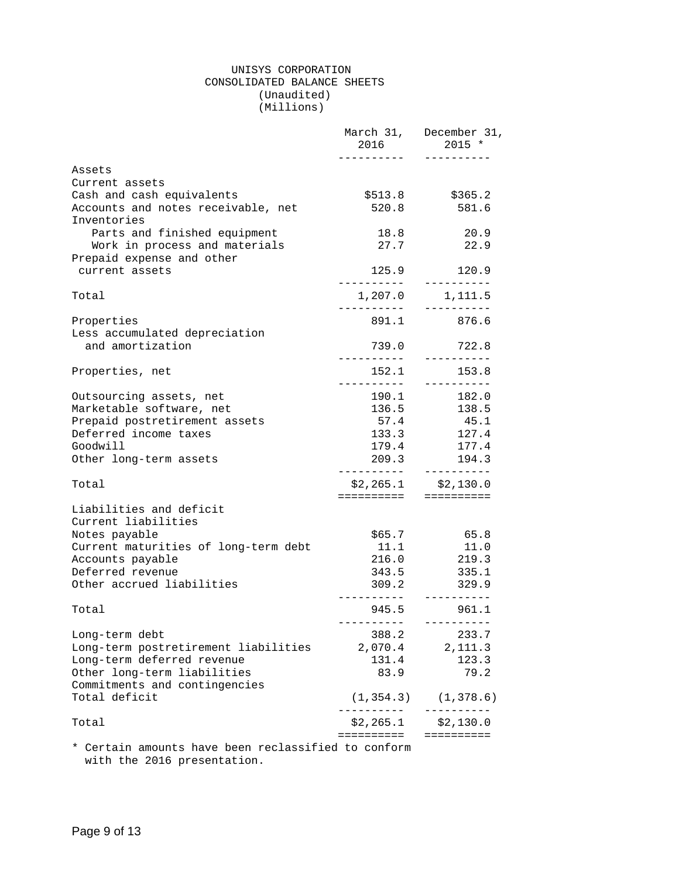#### UNISYS CORPORATION CONSOLIDATED BALANCE SHEETS (Unaudited) (Millions)

|                                                            | 2016                            | March 31, December 31,<br>$2015 *$ |
|------------------------------------------------------------|---------------------------------|------------------------------------|
| Assets                                                     |                                 |                                    |
| Current assets                                             |                                 |                                    |
| Cash and cash equivalents                                  | \$513.8                         | \$365.2                            |
| Accounts and notes receivable, net<br>Inventories          | 520.8                           | 581.6                              |
| Parts and finished equipment                               | 18.8                            | 20.9                               |
| Work in process and materials<br>Prepaid expense and other | 27.7                            | 22.9                               |
| current assets                                             | 125.9                           | 120.9                              |
| Total                                                      |                                 |                                    |
| Properties                                                 | 891.1                           | 876.6                              |
| Less accumulated depreciation                              |                                 |                                    |
| and amortization                                           | 739.0                           | 722.8<br>-----------               |
| Properties, net                                            | 152.1                           | 153.8<br>----------                |
| Outsourcing assets, net                                    | 190.1                           | 182.0                              |
| Marketable software, net                                   |                                 | 136.5 138.5                        |
| Prepaid postretirement assets                              | 57.4                            | 45.1                               |
| Deferred income taxes                                      | 133.3                           | 127.4                              |
| Goodwill                                                   | 179.4                           | 177.4                              |
| Other long-term assets                                     | 209.3                           | 194.3                              |
| Total                                                      |                                 | $$2,265.1$ $$2,130.0$              |
| Liabilities and deficit                                    | =====================           |                                    |
| Current liabilities                                        |                                 |                                    |
| Notes payable                                              | \$65.7                          | 65.8                               |
| Current maturities of long-term debt                       | 11.1                            | 11.0                               |
| Accounts payable                                           | 216.0                           | 219.3                              |
| Deferred revenue                                           | 343.5                           | 335.1                              |
| Other accrued liabilities                                  | 309.2<br>. <u>.</u>             | 329.9<br>----------                |
| Total                                                      | 945.5<br>-----------            | 961.1<br>-----------               |
| Long-term debt                                             | 388.2                           | 233.7                              |
| Long-term postretirement liabilities                       | 2,070.4                         | 2, 111.3                           |
| Long-term deferred revenue                                 | 131.4                           | 123.3                              |
| Other long-term liabilities                                | 83.9                            | 79.2                               |
| Commitments and contingencies                              |                                 |                                    |
| Total deficit                                              | (1, 354.3)<br>_ _ _ _ _ _ _ _ _ | (1, 378.6)<br>----------           |
| Total                                                      | \$2,265.1<br>==========         | \$2,130.0<br>==========            |
|                                                            |                                 |                                    |

\* Certain amounts have been reclassified to conform with the 2016 presentation.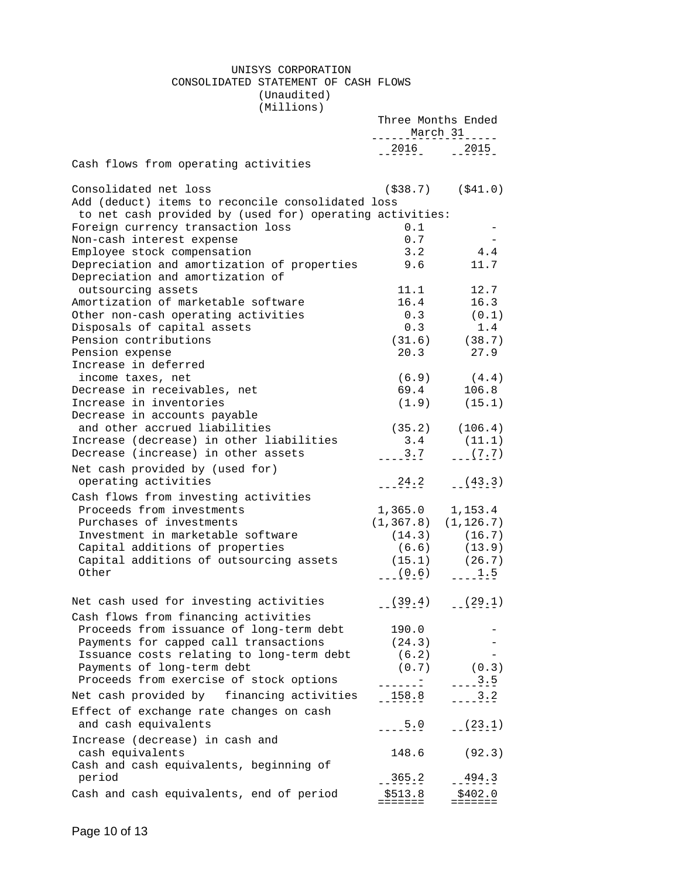#### UNISYS CORPORATION CONSOLIDATED STATEMENT OF CASH FLOWS (Unaudited)

(Millions)

|                                                                            | Three Months Ended<br>$\frac{\text{March}}{\text{1}}$ |                                |
|----------------------------------------------------------------------------|-------------------------------------------------------|--------------------------------|
|                                                                            | $-2016$ $-2015$                                       |                                |
| Cash flows from operating activities                                       |                                                       |                                |
| Consolidated net loss<br>Add (deduct) items to reconcile consolidated loss |                                                       | $($ \$38.7) (\$41.0)           |
| to net cash provided by (used for) operating activities:                   |                                                       |                                |
| Foreign currency transaction loss                                          | 0.1                                                   |                                |
| Non-cash interest expense                                                  | 0.7                                                   |                                |
| Employee stock compensation                                                | 3.2                                                   | 4.4                            |
| Depreciation and amortization of properties                                | 9.6                                                   | 11.7                           |
| Depreciation and amortization of                                           |                                                       |                                |
| outsourcing assets                                                         | 11.1                                                  | 12.7                           |
| Amortization of marketable software                                        |                                                       | 16.4 16.3                      |
| Other non-cash operating activities                                        |                                                       | $0.3$ (0.1)                    |
| Disposals of capital assets<br>Pension contributions                       | 0.3                                                   | 1.4                            |
| Pension expense                                                            |                                                       | $(31.6)$ $(38.7)$<br>20.3 27.9 |
| Increase in deferred                                                       |                                                       |                                |
| income taxes, net                                                          |                                                       | $(6.9)$ $(4.4)$                |
| Decrease in receivables, net                                               |                                                       | 69.4 106.8                     |
| Increase in inventories                                                    |                                                       | $(1.9)$ $(15.1)$               |
| Decrease in accounts payable                                               |                                                       |                                |
| and other accrued liabilities                                              | $(35.2)$ $(106.4)$                                    |                                |
| Increase (decrease) in other liabilities                                   | $3.4$ (11.1)                                          |                                |
| Decrease (increase) in other assets                                        | $---3.7$ $---(7.7)$                                   |                                |
| Net cash provided by (used for)                                            |                                                       |                                |
| operating activities                                                       | $-24.2$ $(43.3)$                                      |                                |
| Cash flows from investing activities                                       |                                                       |                                |
| Proceeds from investments                                                  | $1,365.0$ $1,153.4$                                   |                                |
| Purchases of investments                                                   | $(1, 367.8)$ $(1, 126.7)$                             |                                |
| Investment in marketable software                                          | $(14.3)$ $(16.7)$                                     |                                |
| Capital additions of properties                                            |                                                       | $(6.6)$ $(13.9)$               |
| Capital additions of outsourcing assets                                    | $(15.1)$ $(26.7)$                                     |                                |
| Other                                                                      | $(0.6)$ $1.5$                                         |                                |
| Net cash used for investing activities                                     | $(39.4)$ $(29.1)$                                     |                                |
| Cash flows from financing activities                                       |                                                       |                                |
| Proceeds from issuance of long-term debt                                   | 190.0                                                 |                                |
| Payments for capped call transactions                                      | (24.3)                                                |                                |
| Issuance costs relating to long-term debt                                  | (6.2)                                                 |                                |
| Payments of long-term debt                                                 | (0.7)                                                 | (0.3)                          |
| Proceeds from exercise of stock options                                    |                                                       | 3.5                            |
| Net cash provided by financing activities                                  | 158.8                                                 | 3.2                            |
| Effect of exchange rate changes on cash<br>and cash equivalents            | $-25.0$                                               | $-(-23.1)$                     |
| Increase (decrease) in cash and                                            |                                                       |                                |
| cash equivalents                                                           | 148.6                                                 | (92.3)                         |
| Cash and cash equivalents, beginning of                                    |                                                       |                                |
| period                                                                     | $-365.2$                                              | $-494.3$                       |
| Cash and cash equivalents, end of period                                   | \$513.8                                               | \$402.0                        |
|                                                                            |                                                       |                                |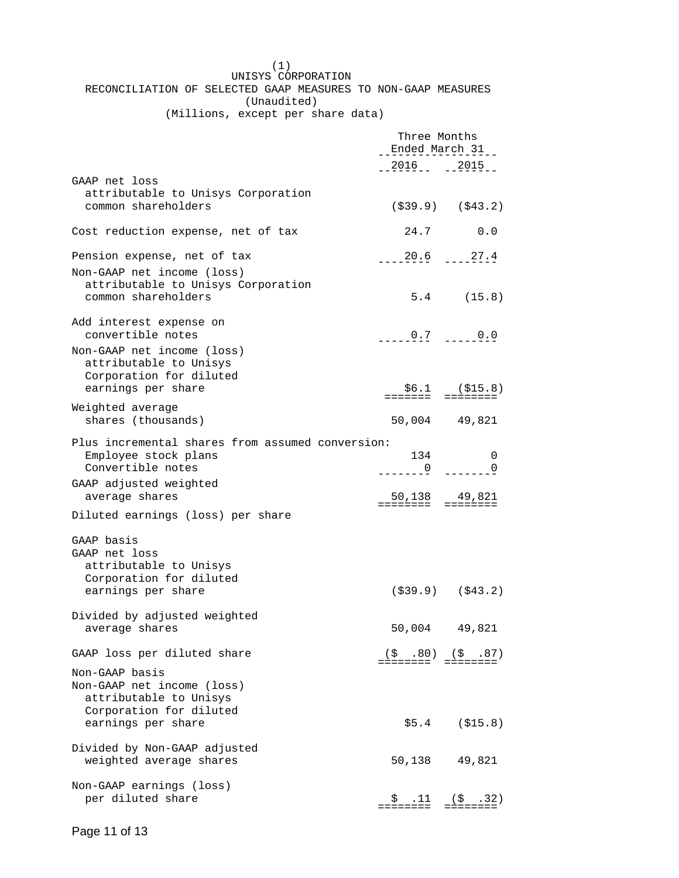|             | (1)                                                           |  |  |  |
|-------------|---------------------------------------------------------------|--|--|--|
|             | UNISYS CORPORATION                                            |  |  |  |
|             | RECONCILIATION OF SELECTED GAAP MEASURES TO NON-GAAP MEASURES |  |  |  |
| (Unaudited) |                                                               |  |  |  |
|             | .                                                             |  |  |  |

(Millions, except per share data)

|                                                                                                        | Three Months<br>Ended March 31     |                                              |
|--------------------------------------------------------------------------------------------------------|------------------------------------|----------------------------------------------|
|                                                                                                        | 2016 2015                          |                                              |
| GAAP net loss<br>attributable to Unisys Corporation                                                    |                                    |                                              |
| common shareholders                                                                                    |                                    | $($ \$39.9) $($ \$43.2)                      |
| Cost reduction expense, net of tax                                                                     | 24.7                               | 0.0                                          |
| Pension expense, net of tax                                                                            | $---20.6$ $---27.4$                |                                              |
| Non-GAAP net income (loss)<br>attributable to Unisys Corporation<br>common shareholders                |                                    | $5.4$ (15.8)                                 |
| Add interest expense on<br>convertible notes                                                           | $0.7 - 0.0$                        |                                              |
| Non-GAAP net income (loss)<br>attributable to Unisys<br>Corporation for diluted<br>earnings per share  |                                    | $$6.1$ (\$15.8)<br>======= =========         |
| Weighted average                                                                                       |                                    |                                              |
| shares (thousands)                                                                                     |                                    | 50,004 49,821                                |
| Plus incremental shares from assumed conversion:<br>Employee stock plans<br>Convertible notes          | 134<br>$=-\frac{0}{2}$             | 0<br>0                                       |
| GAAP adjusted weighted                                                                                 |                                    |                                              |
| average shares                                                                                         | 50,138 49,821<br>======= ========= |                                              |
| Diluted earnings (loss) per share                                                                      |                                    |                                              |
| GAAP basis<br>GAAP net loss<br>attributable to Unisys<br>Corporation for diluted<br>earnings per share |                                    | $($ \$39.9) $($ \$43.2)                      |
| Divided by adjusted weighted<br>average shares                                                         |                                    | 50,004 49,821                                |
| GAAP loss per diluted share                                                                            |                                    | $(\xi$ .80) $(\xi$ .87)<br>======= ========= |
| Non-GAAP basis<br>Non-GAAP net income (loss)<br>attributable to Unisys<br>Corporation for diluted      |                                    |                                              |
| earnings per share                                                                                     |                                    | $$5.4$ ( $$15.8$ )                           |
| Divided by Non-GAAP adjusted<br>weighted average shares                                                | 50,138                             | 49,821                                       |
| Non-GAAP earnings (loss)<br>per diluted share                                                          | .11<br>Ş.                          | $(5 \t32)$                                   |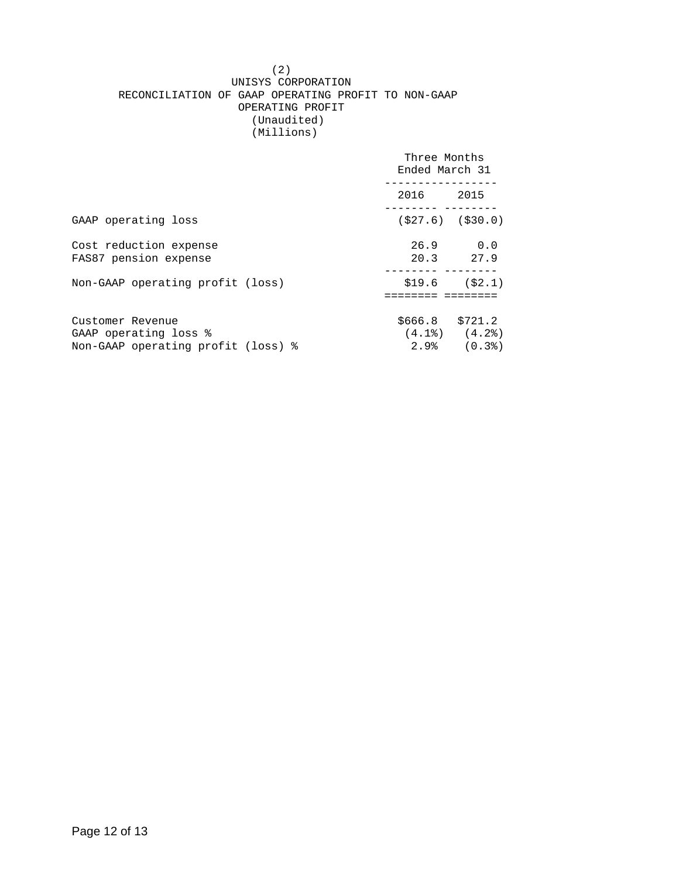#### (2) UNISYS CORPORATION RECONCILIATION OF GAAP OPERATING PROFIT TO NON-GAAP OPERATING PROFIT (Unaudited) (Millions)

|                                                                                 | Three Months<br>Ended March 31 |                                |
|---------------------------------------------------------------------------------|--------------------------------|--------------------------------|
|                                                                                 | 2016 2015                      |                                |
| GAAP operating loss                                                             | $(527.6)$ $(530.0)$            |                                |
| Cost reduction expense<br>FAS87 pension expense                                 |                                | $26.9$ 0.0<br>20.3 27.9        |
| Non-GAAP operating profit (loss)                                                |                                | $$19.6$ $($2.1)$               |
| Customer Revenue<br>GAAP operating loss %<br>Non-GAAP operating profit (loss) % | $$666.8$ $$721.2$              | $(4.1)$ $(4.2)$<br>2.9% (0.3%) |